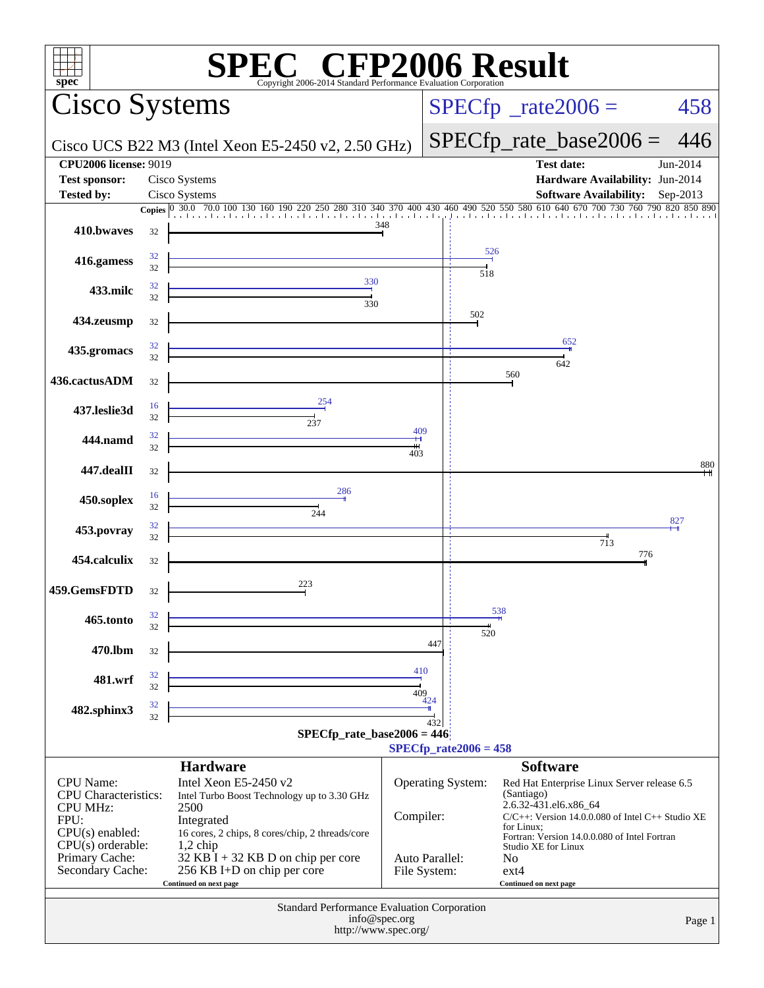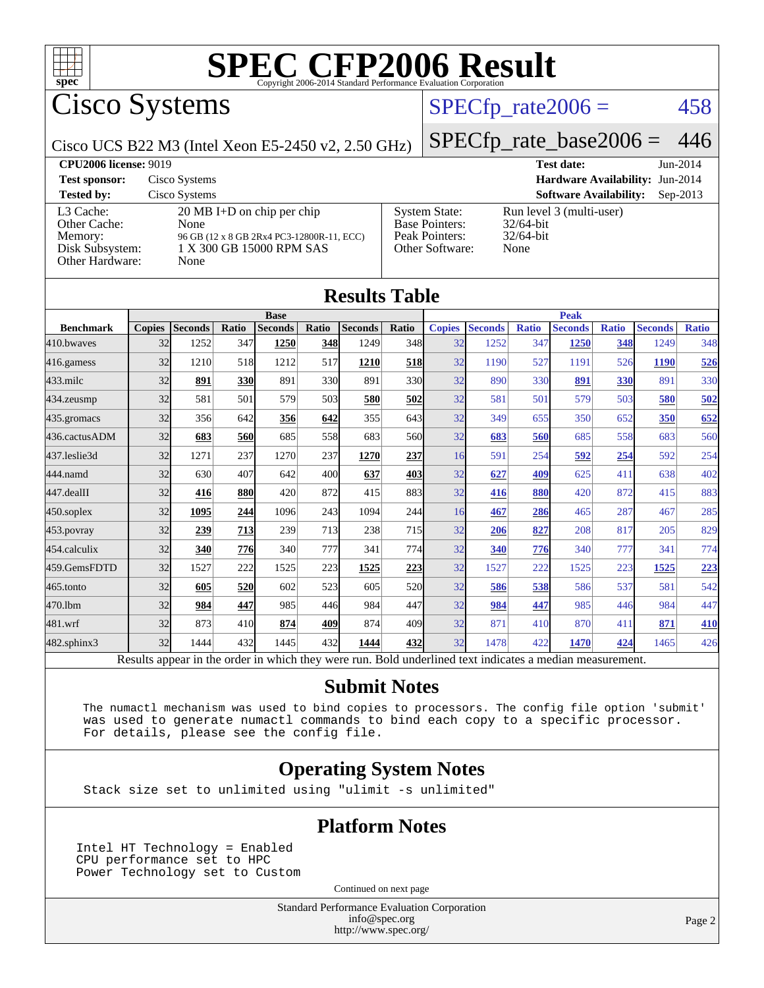

Cisco Systems

### $SPECTp_rate2006 = 458$

Cisco UCS B22 M3 (Intel Xeon E5-2450 v2, 2.50 GHz)

[SPECfp\\_rate\\_base2006 =](http://www.spec.org/auto/cpu2006/Docs/result-fields.html#SPECfpratebase2006) 446

| <b>CPU2006 license: 9019</b>                                               |                                                                                                                               |                                                                                    | <b>Test date:</b>                                                | Jun-2014   |
|----------------------------------------------------------------------------|-------------------------------------------------------------------------------------------------------------------------------|------------------------------------------------------------------------------------|------------------------------------------------------------------|------------|
| <b>Test sponsor:</b>                                                       | Cisco Systems                                                                                                                 |                                                                                    | Hardware Availability: Jun-2014                                  |            |
| <b>Tested by:</b>                                                          | Cisco Systems                                                                                                                 |                                                                                    | <b>Software Availability:</b>                                    | $Sep-2013$ |
| L3 Cache:<br>Other Cache:<br>Memory:<br>Disk Subsystem:<br>Other Hardware: | $20 \text{ MB I+D}$ on chip per chip<br>None<br>96 GB (12 x 8 GB 2Rx4 PC3-12800R-11, ECC)<br>1 X 300 GB 15000 RPM SAS<br>None | <b>System State:</b><br><b>Base Pointers:</b><br>Peak Pointers:<br>Other Software: | Run level 3 (multi-user)<br>$32/64$ -bit<br>$32/64$ -bit<br>None |            |

**[Results Table](http://www.spec.org/auto/cpu2006/Docs/result-fields.html#ResultsTable)**

| Results Table                                                                                            |               |                |            |                |       |                |              |               |                |              |                |              |                |              |
|----------------------------------------------------------------------------------------------------------|---------------|----------------|------------|----------------|-------|----------------|--------------|---------------|----------------|--------------|----------------|--------------|----------------|--------------|
| <b>Base</b>                                                                                              |               |                |            |                |       | <b>Peak</b>    |              |               |                |              |                |              |                |              |
| <b>Benchmark</b>                                                                                         | <b>Copies</b> | <b>Seconds</b> | Ratio      | <b>Seconds</b> | Ratio | <b>Seconds</b> | <b>Ratio</b> | <b>Copies</b> | <b>Seconds</b> | <b>Ratio</b> | <b>Seconds</b> | <b>Ratio</b> | <b>Seconds</b> | <b>Ratio</b> |
| 410.bwaves                                                                                               | 32            | 1252           | 347        | 1250           | 348   | 1249           | 348          | 32            | 1252           | 347          | 1250           | 348          | 1249           | 348          |
| 416.gamess                                                                                               | 32            | 1210           | 518        | 1212           | 517   | 1210           | <b>518</b>   | 32            | 1190           | 527          | 1191           | 526          | 1190           | 526          |
| $433$ .milc                                                                                              | 32            | 891            | <b>330</b> | 891            | 330   | 891            | 330l         | 32            | 890            | 330          | 891            | 330          | 891            | 330l         |
| 434.zeusmp                                                                                               | 32            | 581            | 501        | 579            | 503   | 580            | 502          | 32            | 581            | 501          | 579            | 503          | 580            | 502          |
| 435.gromacs                                                                                              | 32            | 356            | 642        | 356            | 642   | 355            | 643          | 32            | 349            | 655          | 350            | 652          | 350            | 652          |
| 436.cactusADM                                                                                            | 32            | 683            | 560        | 685            | 558   | 683            | 560l         | 32            | 683            | 560          | 685            | 558          | 683            | 560          |
| 437.leslie3d                                                                                             | 32            | 1271           | 237        | 1270           | 237   | 1270           | 237          | 16            | 591            | 254          | 592            | 254          | 592            | 254          |
| 444.namd                                                                                                 | 32            | 630            | 407        | 642            | 400   | 637            | 403          | 32            | 627            | 409          | 625            | 411          | 638            | 402          |
| 447.dealII                                                                                               | 32            | 416            | <b>880</b> | 420            | 872   | 415            | 883          | 32            | 416            | 880          | 420            | 872          | 415            | 883          |
| $450$ .soplex                                                                                            | 32            | 1095           | 244        | 1096           | 243   | 1094           | 244          | 16            | 467            | 286          | 465            | 287          | 467            | 285          |
| 453.povray                                                                                               | 32            | 239            | 713        | 239            | 713   | 238            | 715          | 32            | 206            | 827          | 208            | 817          | 205            | 829          |
| 454.calculix                                                                                             | 32            | 340            | 776        | 340            | 777   | 341            | 774          | 32            | 340            | 776          | 340            | 777          | 341            | 774          |
| 459.GemsFDTD                                                                                             | 32            | 1527           | 222        | 1525           | 223   | 1525           | 223          | 32            | 1527           | 222          | 1525           | 223          | 1525           | 223          |
| 465.tonto                                                                                                | 32            | 605            | 520        | 602            | 523   | 605            | 520l         | 32            | 586            | 538          | 586            | 537          | 581            | 542          |
| 470.1bm                                                                                                  | 32            | 984            | 447        | 985            | 446   | 984            | 447          | 32            | 984            | 447          | 985            | 446          | 984            | 447          |
| 481.wrf                                                                                                  | 32            | 873            | 410        | 874            | 409   | 874            | 409          | 32            | 871            | 410          | 870            | 411          | 871            | 410          |
| 482.sphinx3                                                                                              | 32            | 1444           | 432        | 1445           | 432   | 1444           | 432          | 32            | 1478           | 422          | 1470           | 424          | 1465           | 426          |
| Results appear in the order in which they were run. Bold underlined text indicates a median measurement. |               |                |            |                |       |                |              |               |                |              |                |              |                |              |

#### **[Submit Notes](http://www.spec.org/auto/cpu2006/Docs/result-fields.html#SubmitNotes)**

 The numactl mechanism was used to bind copies to processors. The config file option 'submit' was used to generate numactl commands to bind each copy to a specific processor. For details, please see the config file.

### **[Operating System Notes](http://www.spec.org/auto/cpu2006/Docs/result-fields.html#OperatingSystemNotes)**

Stack size set to unlimited using "ulimit -s unlimited"

#### **[Platform Notes](http://www.spec.org/auto/cpu2006/Docs/result-fields.html#PlatformNotes)**

Intel HT Technology = Enabled CPU performance set to HPC Power Technology set to Custom

Continued on next page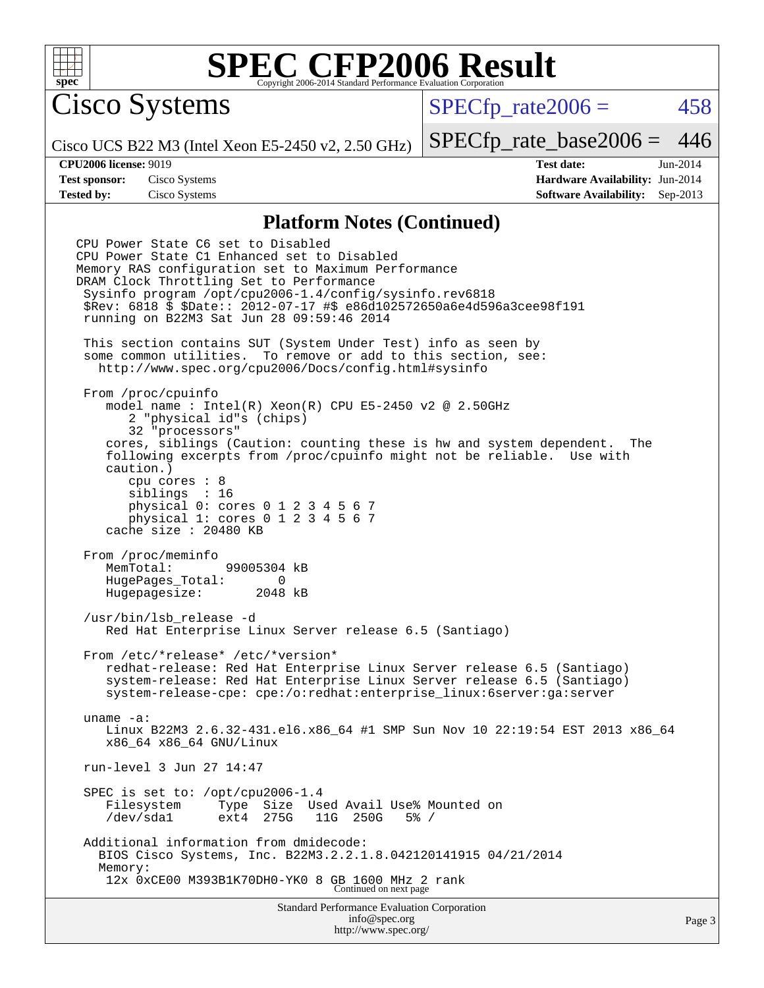

Cisco Systems

 $SPECTp\_rate2006 = 458$ 

Cisco UCS B22 M3 (Intel Xeon E5-2450 v2, 2.50 GHz)

[SPECfp\\_rate\\_base2006 =](http://www.spec.org/auto/cpu2006/Docs/result-fields.html#SPECfpratebase2006) 446

**[CPU2006 license:](http://www.spec.org/auto/cpu2006/Docs/result-fields.html#CPU2006license)** 9019 **[Test date:](http://www.spec.org/auto/cpu2006/Docs/result-fields.html#Testdate)** Jun-2014 **[Test sponsor:](http://www.spec.org/auto/cpu2006/Docs/result-fields.html#Testsponsor)** Cisco Systems **[Hardware Availability:](http://www.spec.org/auto/cpu2006/Docs/result-fields.html#HardwareAvailability)** Jun-2014 **[Tested by:](http://www.spec.org/auto/cpu2006/Docs/result-fields.html#Testedby)** Cisco Systems **[Software Availability:](http://www.spec.org/auto/cpu2006/Docs/result-fields.html#SoftwareAvailability)** Sep-2013

#### **[Platform Notes \(Continued\)](http://www.spec.org/auto/cpu2006/Docs/result-fields.html#PlatformNotes)**

Standard Performance Evaluation Corporation [info@spec.org](mailto:info@spec.org) CPU Power State C6 set to Disabled CPU Power State C1 Enhanced set to Disabled Memory RAS configuration set to Maximum Performance DRAM Clock Throttling Set to Performance Sysinfo program /opt/cpu2006-1.4/config/sysinfo.rev6818 \$Rev: 6818 \$ \$Date:: 2012-07-17 #\$ e86d102572650a6e4d596a3cee98f191 running on B22M3 Sat Jun 28 09:59:46 2014 This section contains SUT (System Under Test) info as seen by some common utilities. To remove or add to this section, see: <http://www.spec.org/cpu2006/Docs/config.html#sysinfo> From /proc/cpuinfo model name : Intel(R) Xeon(R) CPU E5-2450 v2 @ 2.50GHz 2 "physical id"s (chips) 32 "processors" cores, siblings (Caution: counting these is hw and system dependent. The following excerpts from /proc/cpuinfo might not be reliable. Use with caution.) cpu cores : 8 siblings : 16 physical 0: cores 0 1 2 3 4 5 6 7 physical 1: cores 0 1 2 3 4 5 6 7 cache size : 20480 KB From /proc/meminfo MemTotal: 99005304 kB HugePages\_Total: 0<br>Hugepagesize: 2048 kB Hugepagesize: /usr/bin/lsb\_release -d Red Hat Enterprise Linux Server release 6.5 (Santiago) From /etc/\*release\* /etc/\*version\* redhat-release: Red Hat Enterprise Linux Server release 6.5 (Santiago) system-release: Red Hat Enterprise Linux Server release 6.5 (Santiago) system-release-cpe: cpe:/o:redhat:enterprise\_linux:6server:ga:server uname -a: Linux B22M3 2.6.32-431.el6.x86\_64 #1 SMP Sun Nov 10 22:19:54 EST 2013 x86\_64 x86\_64 x86\_64 GNU/Linux run-level 3 Jun 27 14:47 SPEC is set to: /opt/cpu2006-1.4 Filesystem Type Size Used Avail Use% Mounted on<br>/dev/sdal ext4 275G 11G 250G 5% / 11G 250G Additional information from dmidecode: BIOS Cisco Systems, Inc. B22M3.2.2.1.8.042120141915 04/21/2014 Memory: 12x 0xCE00 M393B1K70DH0-YK0 8 GB 1600 MHz 2 rank Continued on next page

<http://www.spec.org/>

Page 3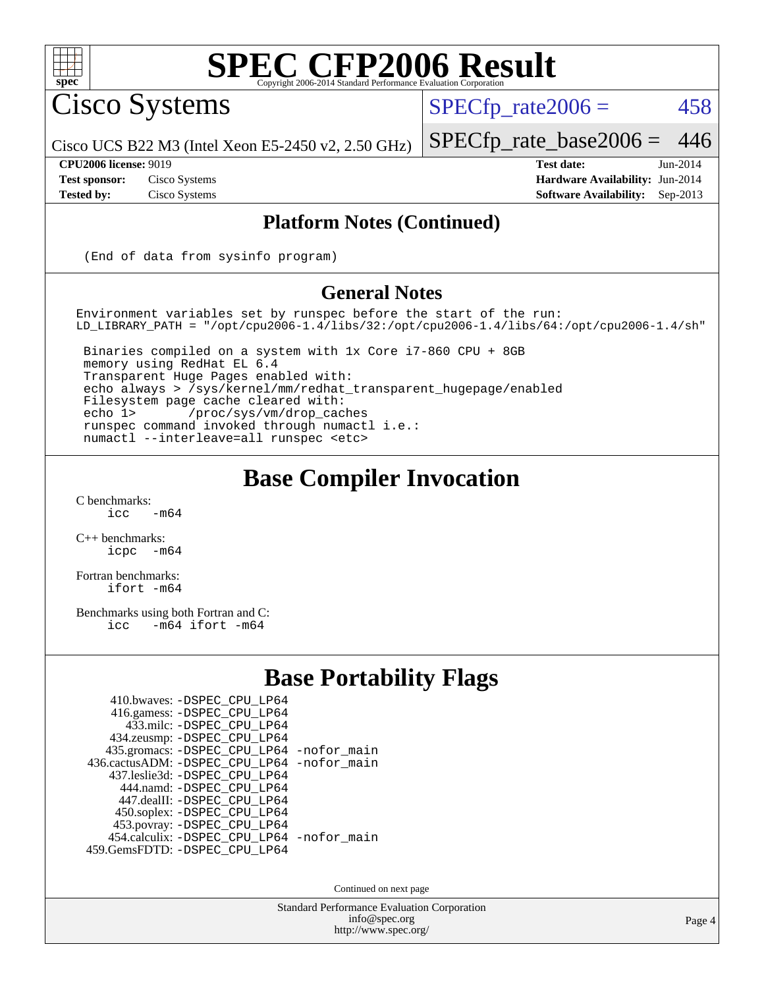

Cisco Systems

 $SPECTp\_rate2006 = 458$ 

[SPECfp\\_rate\\_base2006 =](http://www.spec.org/auto/cpu2006/Docs/result-fields.html#SPECfpratebase2006) 446

Cisco UCS B22 M3 (Intel Xeon E5-2450 v2, 2.50 GHz)

**[Tested by:](http://www.spec.org/auto/cpu2006/Docs/result-fields.html#Testedby)** Cisco Systems **[Software Availability:](http://www.spec.org/auto/cpu2006/Docs/result-fields.html#SoftwareAvailability)** Sep-2013

**[CPU2006 license:](http://www.spec.org/auto/cpu2006/Docs/result-fields.html#CPU2006license)** 9019 **[Test date:](http://www.spec.org/auto/cpu2006/Docs/result-fields.html#Testdate)** Jun-2014 **[Test sponsor:](http://www.spec.org/auto/cpu2006/Docs/result-fields.html#Testsponsor)** Cisco Systems **[Hardware Availability:](http://www.spec.org/auto/cpu2006/Docs/result-fields.html#HardwareAvailability)** Jun-2014

### **[Platform Notes \(Continued\)](http://www.spec.org/auto/cpu2006/Docs/result-fields.html#PlatformNotes)**

(End of data from sysinfo program)

#### **[General Notes](http://www.spec.org/auto/cpu2006/Docs/result-fields.html#GeneralNotes)**

Environment variables set by runspec before the start of the run: LD\_LIBRARY\_PATH = "/opt/cpu2006-1.4/libs/32:/opt/cpu2006-1.4/libs/64:/opt/cpu2006-1.4/sh"

 Binaries compiled on a system with 1x Core i7-860 CPU + 8GB memory using RedHat EL 6.4 Transparent Huge Pages enabled with: echo always > /sys/kernel/mm/redhat\_transparent\_hugepage/enabled Filesystem page cache cleared with: echo 1> /proc/sys/vm/drop\_caches runspec command invoked through numactl i.e.: numactl --interleave=all runspec <etc>

### **[Base Compiler Invocation](http://www.spec.org/auto/cpu2006/Docs/result-fields.html#BaseCompilerInvocation)**

 $C$  benchmarks:<br>icc  $-m64$ 

[C++ benchmarks:](http://www.spec.org/auto/cpu2006/Docs/result-fields.html#CXXbenchmarks) [icpc -m64](http://www.spec.org/cpu2006/results/res2014q3/cpu2006-20140903-31197.flags.html#user_CXXbase_intel_icpc_64bit_bedb90c1146cab66620883ef4f41a67e)

[Fortran benchmarks](http://www.spec.org/auto/cpu2006/Docs/result-fields.html#Fortranbenchmarks): [ifort -m64](http://www.spec.org/cpu2006/results/res2014q3/cpu2006-20140903-31197.flags.html#user_FCbase_intel_ifort_64bit_ee9d0fb25645d0210d97eb0527dcc06e)

[Benchmarks using both Fortran and C](http://www.spec.org/auto/cpu2006/Docs/result-fields.html#BenchmarksusingbothFortranandC): [icc -m64](http://www.spec.org/cpu2006/results/res2014q3/cpu2006-20140903-31197.flags.html#user_CC_FCbase_intel_icc_64bit_0b7121f5ab7cfabee23d88897260401c) [ifort -m64](http://www.spec.org/cpu2006/results/res2014q3/cpu2006-20140903-31197.flags.html#user_CC_FCbase_intel_ifort_64bit_ee9d0fb25645d0210d97eb0527dcc06e)

### **[Base Portability Flags](http://www.spec.org/auto/cpu2006/Docs/result-fields.html#BasePortabilityFlags)**

| 410.bwaves: - DSPEC_CPU_LP64               |  |
|--------------------------------------------|--|
| 416.gamess: - DSPEC_CPU_LP64               |  |
| 433.milc: -DSPEC CPU LP64                  |  |
| 434.zeusmp: -DSPEC_CPU_LP64                |  |
| 435.gromacs: -DSPEC_CPU_LP64 -nofor_main   |  |
| 436.cactusADM: -DSPEC CPU LP64 -nofor main |  |
| 437.leslie3d: -DSPEC CPU LP64              |  |
| 444.namd: - DSPEC CPU LP64                 |  |
| 447.dealII: -DSPEC_CPU LP64                |  |
| 450.soplex: -DSPEC_CPU_LP64                |  |
| 453.povray: -DSPEC_CPU_LP64                |  |
| 454.calculix: - DSPEC_CPU_LP64 -nofor_main |  |
| 459.GemsFDTD: - DSPEC_CPU_LP64             |  |
|                                            |  |

Continued on next page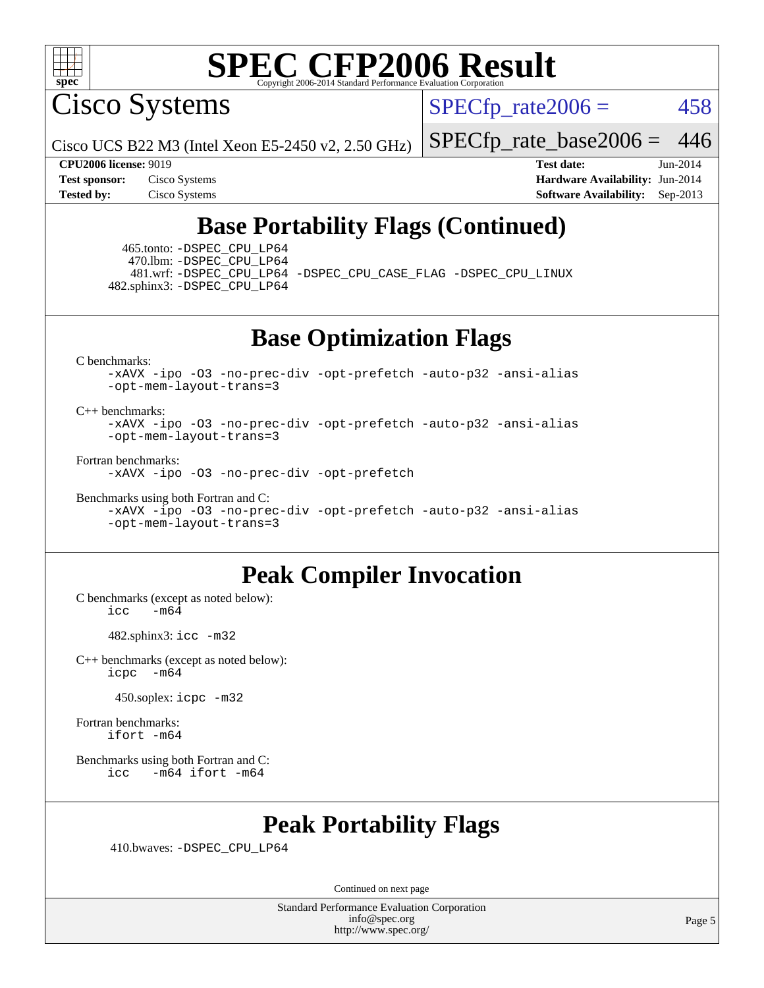

Cisco Systems

 $SPECTp\_rate2006 = 458$ 

Cisco UCS B22 M3 (Intel Xeon E5-2450 v2, 2.50 GHz)

[SPECfp\\_rate\\_base2006 =](http://www.spec.org/auto/cpu2006/Docs/result-fields.html#SPECfpratebase2006) 446

**[CPU2006 license:](http://www.spec.org/auto/cpu2006/Docs/result-fields.html#CPU2006license)** 9019 **[Test date:](http://www.spec.org/auto/cpu2006/Docs/result-fields.html#Testdate)** Jun-2014 **[Test sponsor:](http://www.spec.org/auto/cpu2006/Docs/result-fields.html#Testsponsor)** Cisco Systems **[Hardware Availability:](http://www.spec.org/auto/cpu2006/Docs/result-fields.html#HardwareAvailability)** Jun-2014 **[Tested by:](http://www.spec.org/auto/cpu2006/Docs/result-fields.html#Testedby)** Cisco Systems **[Software Availability:](http://www.spec.org/auto/cpu2006/Docs/result-fields.html#SoftwareAvailability)** Sep-2013

### **[Base Portability Flags \(Continued\)](http://www.spec.org/auto/cpu2006/Docs/result-fields.html#BasePortabilityFlags)**

 465.tonto: [-DSPEC\\_CPU\\_LP64](http://www.spec.org/cpu2006/results/res2014q3/cpu2006-20140903-31197.flags.html#suite_basePORTABILITY465_tonto_DSPEC_CPU_LP64) 470.lbm: [-DSPEC\\_CPU\\_LP64](http://www.spec.org/cpu2006/results/res2014q3/cpu2006-20140903-31197.flags.html#suite_basePORTABILITY470_lbm_DSPEC_CPU_LP64) 481.wrf: [-DSPEC\\_CPU\\_LP64](http://www.spec.org/cpu2006/results/res2014q3/cpu2006-20140903-31197.flags.html#suite_basePORTABILITY481_wrf_DSPEC_CPU_LP64) [-DSPEC\\_CPU\\_CASE\\_FLAG](http://www.spec.org/cpu2006/results/res2014q3/cpu2006-20140903-31197.flags.html#b481.wrf_baseCPORTABILITY_DSPEC_CPU_CASE_FLAG) [-DSPEC\\_CPU\\_LINUX](http://www.spec.org/cpu2006/results/res2014q3/cpu2006-20140903-31197.flags.html#b481.wrf_baseCPORTABILITY_DSPEC_CPU_LINUX) 482.sphinx3: [-DSPEC\\_CPU\\_LP64](http://www.spec.org/cpu2006/results/res2014q3/cpu2006-20140903-31197.flags.html#suite_basePORTABILITY482_sphinx3_DSPEC_CPU_LP64)

**[Base Optimization Flags](http://www.spec.org/auto/cpu2006/Docs/result-fields.html#BaseOptimizationFlags)**

[C benchmarks](http://www.spec.org/auto/cpu2006/Docs/result-fields.html#Cbenchmarks):

[-xAVX](http://www.spec.org/cpu2006/results/res2014q3/cpu2006-20140903-31197.flags.html#user_CCbase_f-xAVX) [-ipo](http://www.spec.org/cpu2006/results/res2014q3/cpu2006-20140903-31197.flags.html#user_CCbase_f-ipo) [-O3](http://www.spec.org/cpu2006/results/res2014q3/cpu2006-20140903-31197.flags.html#user_CCbase_f-O3) [-no-prec-div](http://www.spec.org/cpu2006/results/res2014q3/cpu2006-20140903-31197.flags.html#user_CCbase_f-no-prec-div) [-opt-prefetch](http://www.spec.org/cpu2006/results/res2014q3/cpu2006-20140903-31197.flags.html#user_CCbase_f-opt-prefetch) [-auto-p32](http://www.spec.org/cpu2006/results/res2014q3/cpu2006-20140903-31197.flags.html#user_CCbase_f-auto-p32) [-ansi-alias](http://www.spec.org/cpu2006/results/res2014q3/cpu2006-20140903-31197.flags.html#user_CCbase_f-ansi-alias) [-opt-mem-layout-trans=3](http://www.spec.org/cpu2006/results/res2014q3/cpu2006-20140903-31197.flags.html#user_CCbase_f-opt-mem-layout-trans_a7b82ad4bd7abf52556d4961a2ae94d5)

[C++ benchmarks:](http://www.spec.org/auto/cpu2006/Docs/result-fields.html#CXXbenchmarks)

[-xAVX](http://www.spec.org/cpu2006/results/res2014q3/cpu2006-20140903-31197.flags.html#user_CXXbase_f-xAVX) [-ipo](http://www.spec.org/cpu2006/results/res2014q3/cpu2006-20140903-31197.flags.html#user_CXXbase_f-ipo) [-O3](http://www.spec.org/cpu2006/results/res2014q3/cpu2006-20140903-31197.flags.html#user_CXXbase_f-O3) [-no-prec-div](http://www.spec.org/cpu2006/results/res2014q3/cpu2006-20140903-31197.flags.html#user_CXXbase_f-no-prec-div) [-opt-prefetch](http://www.spec.org/cpu2006/results/res2014q3/cpu2006-20140903-31197.flags.html#user_CXXbase_f-opt-prefetch) [-auto-p32](http://www.spec.org/cpu2006/results/res2014q3/cpu2006-20140903-31197.flags.html#user_CXXbase_f-auto-p32) [-ansi-alias](http://www.spec.org/cpu2006/results/res2014q3/cpu2006-20140903-31197.flags.html#user_CXXbase_f-ansi-alias) [-opt-mem-layout-trans=3](http://www.spec.org/cpu2006/results/res2014q3/cpu2006-20140903-31197.flags.html#user_CXXbase_f-opt-mem-layout-trans_a7b82ad4bd7abf52556d4961a2ae94d5)

[Fortran benchmarks](http://www.spec.org/auto/cpu2006/Docs/result-fields.html#Fortranbenchmarks):

[-xAVX](http://www.spec.org/cpu2006/results/res2014q3/cpu2006-20140903-31197.flags.html#user_FCbase_f-xAVX) [-ipo](http://www.spec.org/cpu2006/results/res2014q3/cpu2006-20140903-31197.flags.html#user_FCbase_f-ipo) [-O3](http://www.spec.org/cpu2006/results/res2014q3/cpu2006-20140903-31197.flags.html#user_FCbase_f-O3) [-no-prec-div](http://www.spec.org/cpu2006/results/res2014q3/cpu2006-20140903-31197.flags.html#user_FCbase_f-no-prec-div) [-opt-prefetch](http://www.spec.org/cpu2006/results/res2014q3/cpu2006-20140903-31197.flags.html#user_FCbase_f-opt-prefetch)

[Benchmarks using both Fortran and C](http://www.spec.org/auto/cpu2006/Docs/result-fields.html#BenchmarksusingbothFortranandC): [-xAVX](http://www.spec.org/cpu2006/results/res2014q3/cpu2006-20140903-31197.flags.html#user_CC_FCbase_f-xAVX) [-ipo](http://www.spec.org/cpu2006/results/res2014q3/cpu2006-20140903-31197.flags.html#user_CC_FCbase_f-ipo) [-O3](http://www.spec.org/cpu2006/results/res2014q3/cpu2006-20140903-31197.flags.html#user_CC_FCbase_f-O3) [-no-prec-div](http://www.spec.org/cpu2006/results/res2014q3/cpu2006-20140903-31197.flags.html#user_CC_FCbase_f-no-prec-div) [-opt-prefetch](http://www.spec.org/cpu2006/results/res2014q3/cpu2006-20140903-31197.flags.html#user_CC_FCbase_f-opt-prefetch) [-auto-p32](http://www.spec.org/cpu2006/results/res2014q3/cpu2006-20140903-31197.flags.html#user_CC_FCbase_f-auto-p32) [-ansi-alias](http://www.spec.org/cpu2006/results/res2014q3/cpu2006-20140903-31197.flags.html#user_CC_FCbase_f-ansi-alias)

[-opt-mem-layout-trans=3](http://www.spec.org/cpu2006/results/res2014q3/cpu2006-20140903-31197.flags.html#user_CC_FCbase_f-opt-mem-layout-trans_a7b82ad4bd7abf52556d4961a2ae94d5)

### **[Peak Compiler Invocation](http://www.spec.org/auto/cpu2006/Docs/result-fields.html#PeakCompilerInvocation)**

[C benchmarks \(except as noted below\)](http://www.spec.org/auto/cpu2006/Docs/result-fields.html#Cbenchmarksexceptasnotedbelow):  $icc$   $-m64$ 

482.sphinx3: [icc -m32](http://www.spec.org/cpu2006/results/res2014q3/cpu2006-20140903-31197.flags.html#user_peakCCLD482_sphinx3_intel_icc_a6a621f8d50482236b970c6ac5f55f93)

[C++ benchmarks \(except as noted below\):](http://www.spec.org/auto/cpu2006/Docs/result-fields.html#CXXbenchmarksexceptasnotedbelow) [icpc -m64](http://www.spec.org/cpu2006/results/res2014q3/cpu2006-20140903-31197.flags.html#user_CXXpeak_intel_icpc_64bit_bedb90c1146cab66620883ef4f41a67e)

450.soplex: [icpc -m32](http://www.spec.org/cpu2006/results/res2014q3/cpu2006-20140903-31197.flags.html#user_peakCXXLD450_soplex_intel_icpc_4e5a5ef1a53fd332b3c49e69c3330699)

[Fortran benchmarks](http://www.spec.org/auto/cpu2006/Docs/result-fields.html#Fortranbenchmarks): [ifort -m64](http://www.spec.org/cpu2006/results/res2014q3/cpu2006-20140903-31197.flags.html#user_FCpeak_intel_ifort_64bit_ee9d0fb25645d0210d97eb0527dcc06e)

[Benchmarks using both Fortran and C](http://www.spec.org/auto/cpu2006/Docs/result-fields.html#BenchmarksusingbothFortranandC): [icc -m64](http://www.spec.org/cpu2006/results/res2014q3/cpu2006-20140903-31197.flags.html#user_CC_FCpeak_intel_icc_64bit_0b7121f5ab7cfabee23d88897260401c) [ifort -m64](http://www.spec.org/cpu2006/results/res2014q3/cpu2006-20140903-31197.flags.html#user_CC_FCpeak_intel_ifort_64bit_ee9d0fb25645d0210d97eb0527dcc06e)

### **[Peak Portability Flags](http://www.spec.org/auto/cpu2006/Docs/result-fields.html#PeakPortabilityFlags)**

410.bwaves: [-DSPEC\\_CPU\\_LP64](http://www.spec.org/cpu2006/results/res2014q3/cpu2006-20140903-31197.flags.html#suite_peakPORTABILITY410_bwaves_DSPEC_CPU_LP64)

Continued on next page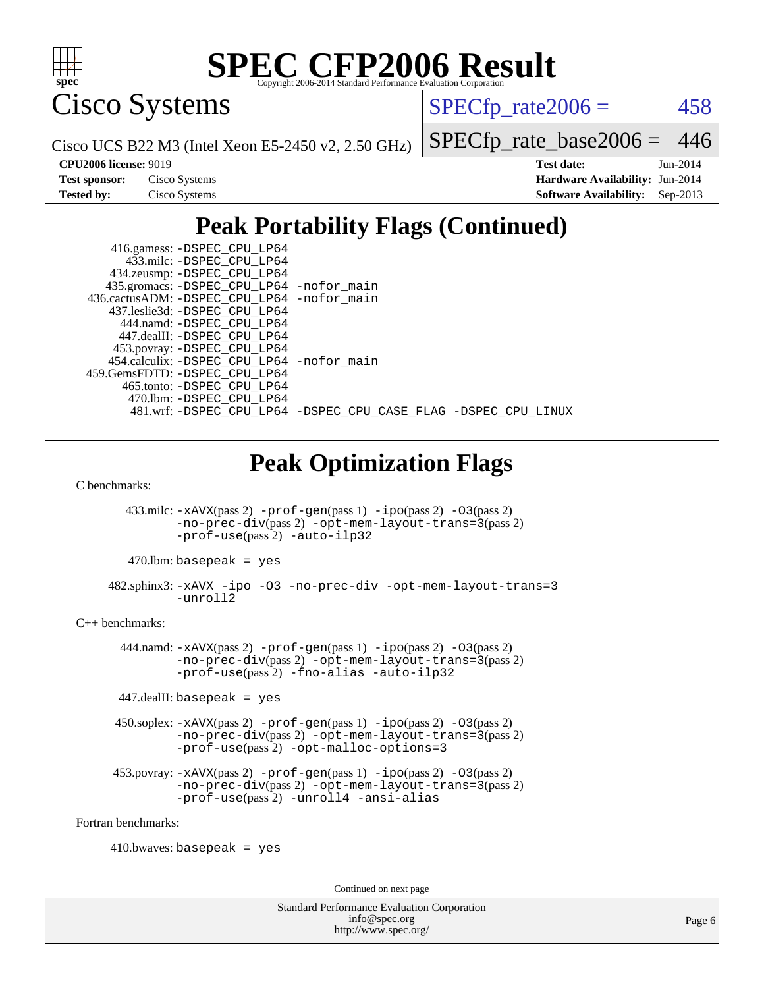

Cisco Systems

 $SPECTp\_rate2006 = 458$ 

Cisco UCS B22 M3 (Intel Xeon E5-2450 v2, 2.50 GHz)

[SPECfp\\_rate\\_base2006 =](http://www.spec.org/auto/cpu2006/Docs/result-fields.html#SPECfpratebase2006) 446

| <b>Test sponsor:</b> | Cisco Systems |
|----------------------|---------------|
| <b>Tested by:</b>    | Cisco Systems |

**[CPU2006 license:](http://www.spec.org/auto/cpu2006/Docs/result-fields.html#CPU2006license)** 9019 **[Test date:](http://www.spec.org/auto/cpu2006/Docs/result-fields.html#Testdate)** Jun-2014 **[Hardware Availability:](http://www.spec.org/auto/cpu2006/Docs/result-fields.html#HardwareAvailability)** Jun-2014 **[Software Availability:](http://www.spec.org/auto/cpu2006/Docs/result-fields.html#SoftwareAvailability)** Sep-2013

### **[Peak Portability Flags \(Continued\)](http://www.spec.org/auto/cpu2006/Docs/result-fields.html#PeakPortabilityFlags)**

| 416.gamess: -DSPEC_CPU_LP64                 |                                                                |
|---------------------------------------------|----------------------------------------------------------------|
| 433.milc: -DSPEC CPU LP64                   |                                                                |
| 434.zeusmp: -DSPEC_CPU_LP64                 |                                                                |
| 435.gromacs: -DSPEC_CPU_LP64 -nofor_main    |                                                                |
| 436.cactusADM: -DSPEC CPU LP64 -nofor main  |                                                                |
| 437.leslie3d: -DSPEC CPU LP64               |                                                                |
| 444.namd: -DSPEC CPU LP64                   |                                                                |
| 447.dealII: -DSPEC_CPU_LP64                 |                                                                |
| 453.povray: -DSPEC_CPU_LP64                 |                                                                |
| 454.calculix: - DSPEC CPU LP64 - nofor main |                                                                |
| 459. GemsFDTD: - DSPEC CPU LP64             |                                                                |
| 465.tonto: -DSPEC CPU LP64                  |                                                                |
| 470.1bm: - DSPEC_CPU LP64                   |                                                                |
|                                             | 481.wrf: -DSPEC CPU LP64 -DSPEC CPU CASE FLAG -DSPEC CPU LINUX |

### **[Peak Optimization Flags](http://www.spec.org/auto/cpu2006/Docs/result-fields.html#PeakOptimizationFlags)**

[C benchmarks](http://www.spec.org/auto/cpu2006/Docs/result-fields.html#Cbenchmarks):

433.milc:  $-xAUX(pass 2) -prof-gen(pass 1) -ipo(pass 2) -O3(pass 2)$  $-xAUX(pass 2) -prof-gen(pass 1) -ipo(pass 2) -O3(pass 2)$  $-xAUX(pass 2) -prof-gen(pass 1) -ipo(pass 2) -O3(pass 2)$  $-xAUX(pass 2) -prof-gen(pass 1) -ipo(pass 2) -O3(pass 2)$  $-xAUX(pass 2) -prof-gen(pass 1) -ipo(pass 2) -O3(pass 2)$  $-xAUX(pass 2) -prof-gen(pass 1) -ipo(pass 2) -O3(pass 2)$  $-xAUX(pass 2) -prof-gen(pass 1) -ipo(pass 2) -O3(pass 2)$ [-no-prec-div](http://www.spec.org/cpu2006/results/res2014q3/cpu2006-20140903-31197.flags.html#user_peakPASS2_CFLAGSPASS2_LDFLAGS433_milc_f-no-prec-div)(pass 2) [-opt-mem-layout-trans=3](http://www.spec.org/cpu2006/results/res2014q3/cpu2006-20140903-31197.flags.html#user_peakPASS2_CFLAGS433_milc_f-opt-mem-layout-trans_a7b82ad4bd7abf52556d4961a2ae94d5)(pass 2) [-prof-use](http://www.spec.org/cpu2006/results/res2014q3/cpu2006-20140903-31197.flags.html#user_peakPASS2_CFLAGSPASS2_LDFLAGS433_milc_prof_use_bccf7792157ff70d64e32fe3e1250b55)(pass 2) [-auto-ilp32](http://www.spec.org/cpu2006/results/res2014q3/cpu2006-20140903-31197.flags.html#user_peakCOPTIMIZE433_milc_f-auto-ilp32)

 $470$ .lbm: basepeak = yes

 482.sphinx3: [-xAVX](http://www.spec.org/cpu2006/results/res2014q3/cpu2006-20140903-31197.flags.html#user_peakOPTIMIZE482_sphinx3_f-xAVX) [-ipo](http://www.spec.org/cpu2006/results/res2014q3/cpu2006-20140903-31197.flags.html#user_peakOPTIMIZE482_sphinx3_f-ipo) [-O3](http://www.spec.org/cpu2006/results/res2014q3/cpu2006-20140903-31197.flags.html#user_peakOPTIMIZE482_sphinx3_f-O3) [-no-prec-div](http://www.spec.org/cpu2006/results/res2014q3/cpu2006-20140903-31197.flags.html#user_peakOPTIMIZE482_sphinx3_f-no-prec-div) [-opt-mem-layout-trans=3](http://www.spec.org/cpu2006/results/res2014q3/cpu2006-20140903-31197.flags.html#user_peakOPTIMIZE482_sphinx3_f-opt-mem-layout-trans_a7b82ad4bd7abf52556d4961a2ae94d5) [-unroll2](http://www.spec.org/cpu2006/results/res2014q3/cpu2006-20140903-31197.flags.html#user_peakCOPTIMIZE482_sphinx3_f-unroll_784dae83bebfb236979b41d2422d7ec2)

[C++ benchmarks:](http://www.spec.org/auto/cpu2006/Docs/result-fields.html#CXXbenchmarks)

 444.namd: [-xAVX](http://www.spec.org/cpu2006/results/res2014q3/cpu2006-20140903-31197.flags.html#user_peakPASS2_CXXFLAGSPASS2_LDFLAGS444_namd_f-xAVX)(pass 2) [-prof-gen](http://www.spec.org/cpu2006/results/res2014q3/cpu2006-20140903-31197.flags.html#user_peakPASS1_CXXFLAGSPASS1_LDFLAGS444_namd_prof_gen_e43856698f6ca7b7e442dfd80e94a8fc)(pass 1) [-ipo](http://www.spec.org/cpu2006/results/res2014q3/cpu2006-20140903-31197.flags.html#user_peakPASS2_CXXFLAGSPASS2_LDFLAGS444_namd_f-ipo)(pass 2) [-O3](http://www.spec.org/cpu2006/results/res2014q3/cpu2006-20140903-31197.flags.html#user_peakPASS2_CXXFLAGSPASS2_LDFLAGS444_namd_f-O3)(pass 2) [-no-prec-div](http://www.spec.org/cpu2006/results/res2014q3/cpu2006-20140903-31197.flags.html#user_peakPASS2_CXXFLAGSPASS2_LDFLAGS444_namd_f-no-prec-div)(pass 2) [-opt-mem-layout-trans=3](http://www.spec.org/cpu2006/results/res2014q3/cpu2006-20140903-31197.flags.html#user_peakPASS2_CXXFLAGS444_namd_f-opt-mem-layout-trans_a7b82ad4bd7abf52556d4961a2ae94d5)(pass 2) [-prof-use](http://www.spec.org/cpu2006/results/res2014q3/cpu2006-20140903-31197.flags.html#user_peakPASS2_CXXFLAGSPASS2_LDFLAGS444_namd_prof_use_bccf7792157ff70d64e32fe3e1250b55)(pass 2) [-fno-alias](http://www.spec.org/cpu2006/results/res2014q3/cpu2006-20140903-31197.flags.html#user_peakCXXOPTIMIZE444_namd_f-no-alias_694e77f6c5a51e658e82ccff53a9e63a) [-auto-ilp32](http://www.spec.org/cpu2006/results/res2014q3/cpu2006-20140903-31197.flags.html#user_peakCXXOPTIMIZE444_namd_f-auto-ilp32)

447.dealII: basepeak = yes

 450.soplex: [-xAVX](http://www.spec.org/cpu2006/results/res2014q3/cpu2006-20140903-31197.flags.html#user_peakPASS2_CXXFLAGSPASS2_LDFLAGS450_soplex_f-xAVX)(pass 2) [-prof-gen](http://www.spec.org/cpu2006/results/res2014q3/cpu2006-20140903-31197.flags.html#user_peakPASS1_CXXFLAGSPASS1_LDFLAGS450_soplex_prof_gen_e43856698f6ca7b7e442dfd80e94a8fc)(pass 1) [-ipo](http://www.spec.org/cpu2006/results/res2014q3/cpu2006-20140903-31197.flags.html#user_peakPASS2_CXXFLAGSPASS2_LDFLAGS450_soplex_f-ipo)(pass 2) [-O3](http://www.spec.org/cpu2006/results/res2014q3/cpu2006-20140903-31197.flags.html#user_peakPASS2_CXXFLAGSPASS2_LDFLAGS450_soplex_f-O3)(pass 2) [-no-prec-div](http://www.spec.org/cpu2006/results/res2014q3/cpu2006-20140903-31197.flags.html#user_peakPASS2_CXXFLAGSPASS2_LDFLAGS450_soplex_f-no-prec-div)(pass 2) [-opt-mem-layout-trans=3](http://www.spec.org/cpu2006/results/res2014q3/cpu2006-20140903-31197.flags.html#user_peakPASS2_CXXFLAGS450_soplex_f-opt-mem-layout-trans_a7b82ad4bd7abf52556d4961a2ae94d5)(pass 2) [-prof-use](http://www.spec.org/cpu2006/results/res2014q3/cpu2006-20140903-31197.flags.html#user_peakPASS2_CXXFLAGSPASS2_LDFLAGS450_soplex_prof_use_bccf7792157ff70d64e32fe3e1250b55)(pass 2) [-opt-malloc-options=3](http://www.spec.org/cpu2006/results/res2014q3/cpu2006-20140903-31197.flags.html#user_peakOPTIMIZE450_soplex_f-opt-malloc-options_13ab9b803cf986b4ee62f0a5998c2238)

453.povray:  $-xAVX(pass 2)$  $-xAVX(pass 2)$  [-prof-gen](http://www.spec.org/cpu2006/results/res2014q3/cpu2006-20140903-31197.flags.html#user_peakPASS1_CXXFLAGSPASS1_LDFLAGS453_povray_prof_gen_e43856698f6ca7b7e442dfd80e94a8fc)(pass 1) [-ipo](http://www.spec.org/cpu2006/results/res2014q3/cpu2006-20140903-31197.flags.html#user_peakPASS2_CXXFLAGSPASS2_LDFLAGS453_povray_f-ipo)(pass 2) -03(pass 2) [-no-prec-div](http://www.spec.org/cpu2006/results/res2014q3/cpu2006-20140903-31197.flags.html#user_peakPASS2_CXXFLAGSPASS2_LDFLAGS453_povray_f-no-prec-div)(pass 2) [-opt-mem-layout-trans=3](http://www.spec.org/cpu2006/results/res2014q3/cpu2006-20140903-31197.flags.html#user_peakPASS2_CXXFLAGS453_povray_f-opt-mem-layout-trans_a7b82ad4bd7abf52556d4961a2ae94d5)(pass 2) [-prof-use](http://www.spec.org/cpu2006/results/res2014q3/cpu2006-20140903-31197.flags.html#user_peakPASS2_CXXFLAGSPASS2_LDFLAGS453_povray_prof_use_bccf7792157ff70d64e32fe3e1250b55)(pass 2) [-unroll4](http://www.spec.org/cpu2006/results/res2014q3/cpu2006-20140903-31197.flags.html#user_peakCXXOPTIMIZE453_povray_f-unroll_4e5e4ed65b7fd20bdcd365bec371b81f) [-ansi-alias](http://www.spec.org/cpu2006/results/res2014q3/cpu2006-20140903-31197.flags.html#user_peakCXXOPTIMIZE453_povray_f-ansi-alias)

[Fortran benchmarks](http://www.spec.org/auto/cpu2006/Docs/result-fields.html#Fortranbenchmarks):

 $410.bwaves: basepeak = yes$ 

Continued on next page